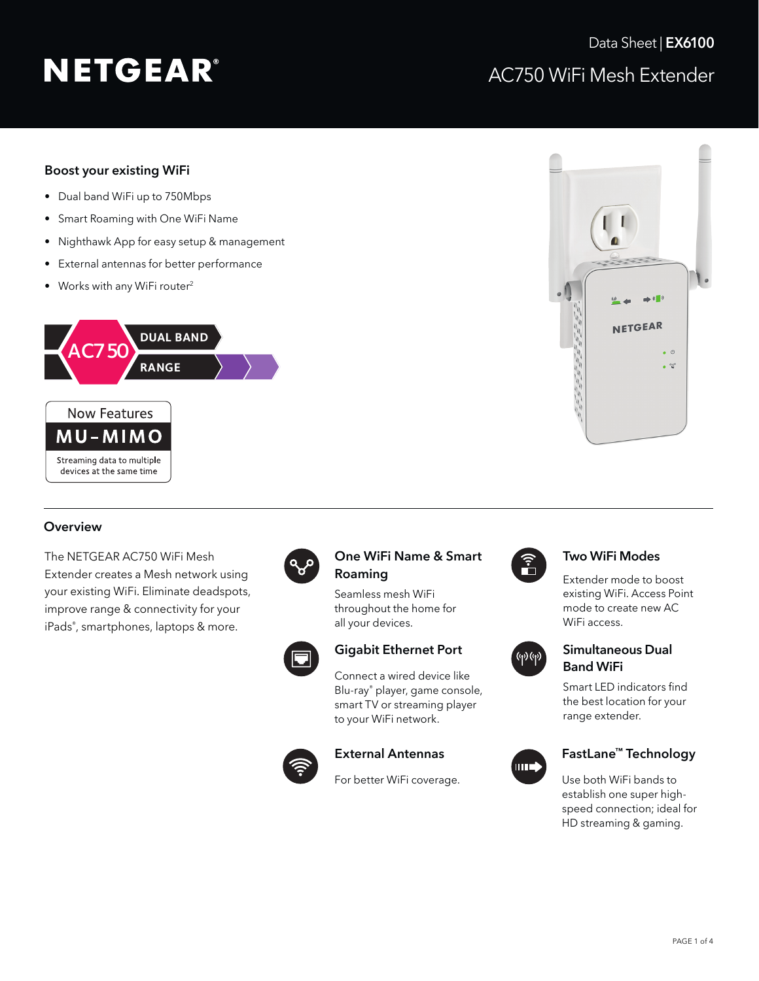# Boost your existing WiFi

- Dual band WiFi up to 750Mbps
- Smart Roaming with One WiFi Name
- Nighthawk App for easy setup & management
- External antennas for better performance
- Works with any WiFi router<sup>2</sup>

devices at the same time





## **Overview**

The NETGEAR AC750 WiFi Mesh Extender creates a Mesh network using your existing WiFi. Eliminate deadspots, improve range & connectivity for your iPads® , smartphones, laptops & more.



## One WiFi Name & Smart Roaming

Seamless mesh WiFi throughout the home for all your devices.



# Gigabit Ethernet Port

Connect a wired device like Blu-ray® player, game console, smart TV or streaming player to your WiFi network.



## External Antennas

For better WiFi coverage.



## Two WiFi Modes

Extender mode to boost existing WiFi. Access Point mode to create new AC WiFi access.



# Simultaneous Dual Band WiFi

Smart LED indicators find the best location for your range extender.



# FastLane™ Technology

Use both WiFi bands to establish one super highspeed connection; ideal for HD streaming & gaming.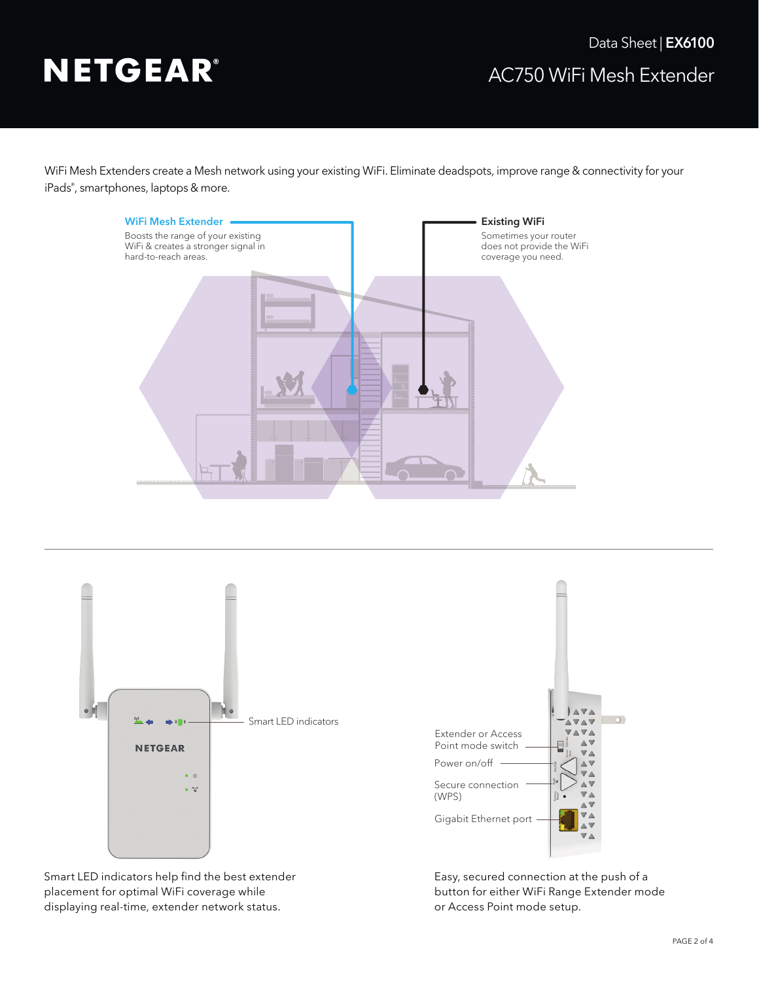WiFi Mesh Extenders create a Mesh network using your existing WiFi. Eliminate deadspots, improve range & connectivity for your iPads® , smartphones, laptops & more.





Smart LED indicators help find the best extender placement for optimal WiFi coverage while displaying real-time, extender network status.

Easy, secured connection at the push of a button for either WiFi Range Extender mode or Access Point mode setup.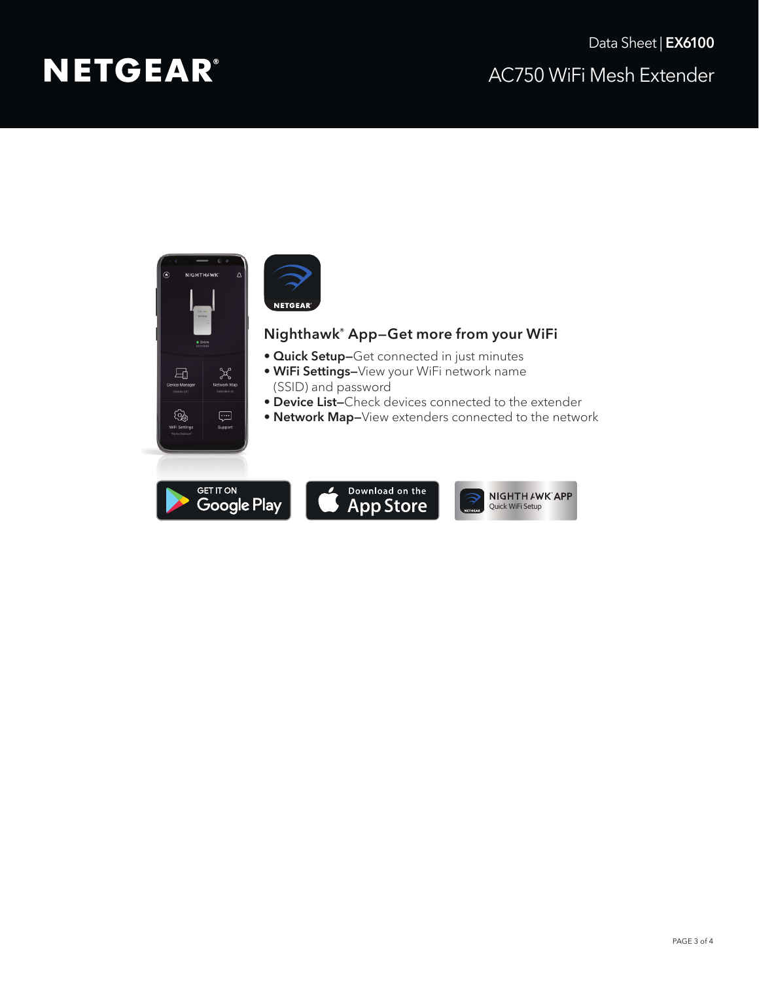# AC750 WiFi Mesh Extender Data Sheet | **EX6100**